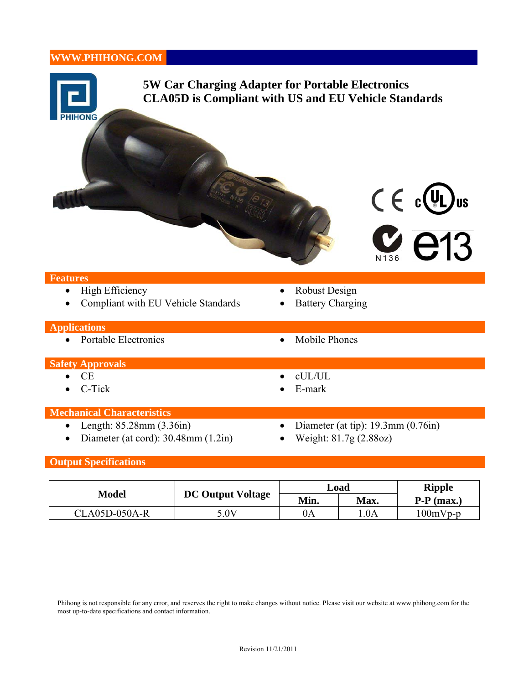# **WWW.PHIHONG.COM**



### **Output Specifications**

| <b>Model</b>  | <b>DC Output Voltage</b> | Load |      | <b>Ripple</b> |
|---------------|--------------------------|------|------|---------------|
|               |                          | Min. | Max. | $P-P$ (max.)  |
| CLA05D-050A-R | 5.0V                     | 0A   | .0A  | $100mVp-p$    |

Phihong is not responsible for any error, and reserves the right to make changes without notice. Please visit our website at www.phihong.com for the most up-to-date specifications and contact information.